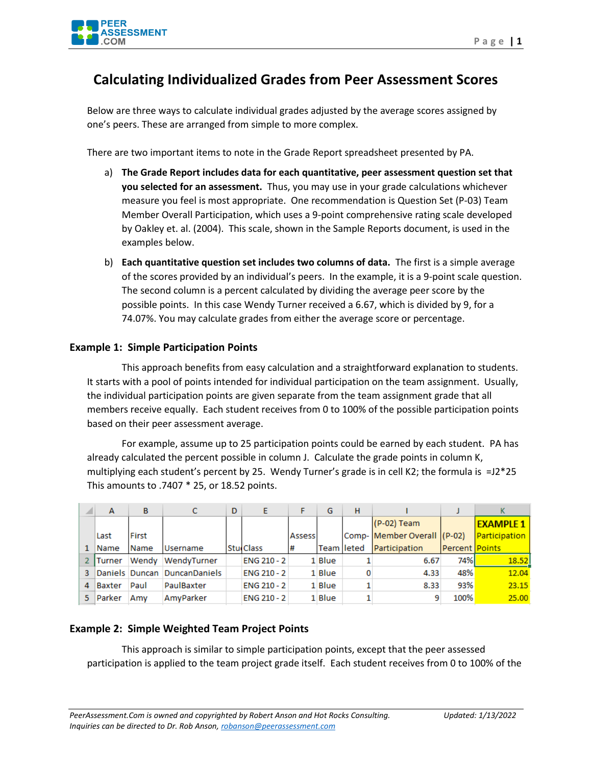

## **Calculating Individualized Grades from Peer Assessment Scores**

Below are three ways to calculate individual grades adjusted by the average scores assigned by one's peers. These are arranged from simple to more complex.

There are two important items to note in the Grade Report spreadsheet presented by PA.

- a) **The Grade Report includes data for each quantitative, peer assessment question set that you selected for an assessment.** Thus, you may use in your grade calculations whichever measure you feel is most appropriate. One recommendation is Question Set (P-03) Team Member Overall Participation, which uses a 9-point comprehensive rating scale developed by Oakley et. al. (2004). This scale, shown in the Sample Reports document, is used in the examples below.
- b) **Each quantitative question set includes two columns of data.** The first is a simple average of the scores provided by an individual's peers. In the example, it is a 9-point scale question. The second column is a percent calculated by dividing the average peer score by the possible points. In this case Wendy Turner received a 6.67, which is divided by 9, for a 74.07%. You may calculate grades from either the average score or percentage.

## **Example 1: Simple Participation Points**

This approach benefits from easy calculation and a straightforward explanation to students. It starts with a pool of points intended for individual participation on the team assignment. Usually, the individual participation points are given separate from the team assignment grade that all members receive equally. Each student receives from 0 to 100% of the possible participation points based on their peer assessment average.

For example, assume up to 25 participation points could be earned by each student. PA has already calculated the percent possible in column J. Calculate the grade points in column K, multiplying each student's percent by 25. Wendy Turner's grade is in cell K2; the formula is  $=$  12\*25 This amounts to .7407 \* 25, or 18.52 points.

|   | A             | B      | с                            | D | E                  |         | G           | н |                             |                | К                |
|---|---------------|--------|------------------------------|---|--------------------|---------|-------------|---|-----------------------------|----------------|------------------|
|   |               |        |                              |   |                    |         |             |   | (P-02) Team                 |                | <b>EXAMPLE 1</b> |
|   | Last          | First  |                              |   |                    | Assessi |             |   | Comp- Member Overall (P-02) |                | Participation    |
|   | Name          | l Name | Username                     |   | <b>StudClass</b>   | l#      | Team lleted |   | Participation               | Percent Points |                  |
|   | <b>Turner</b> | Wendy  | WendyTurner                  |   | <b>ENG 210 - 2</b> |         | 1 Blue      |   | 6.67                        | 74%            | 18.52            |
| з |               |        | Daniels Duncan DuncanDaniels |   | <b>ENG 210 - 2</b> |         | 1 Blue      |   | 4.33                        | 48%            | 12.04            |
| 4 | Baxter        | Paul   | PaulBaxter                   |   | ENG 210 - 2        |         | 1 Blue      |   | 8.33                        | 93%            | 23.15            |
|   | <b>Parker</b> | Amv    | AmvParker                    |   | <b>ENG 210 - 2</b> |         | 1 Blue      |   |                             | 100%           | 25.00            |

## **Example 2: Simple Weighted Team Project Points**

This approach is similar to simple participation points, except that the peer assessed participation is applied to the team project grade itself. Each student receives from 0 to 100% of the